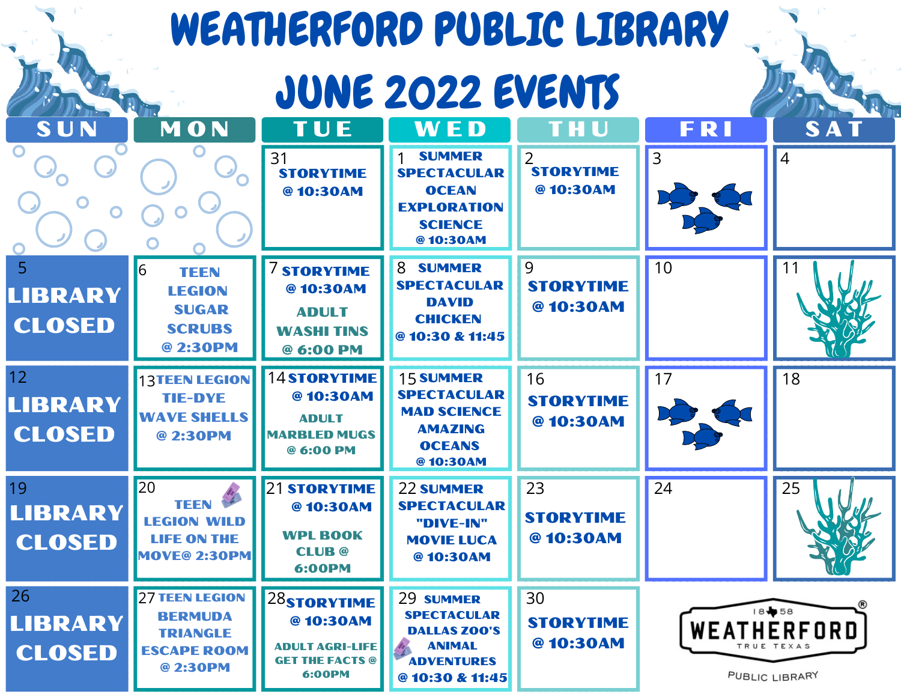# WEATHERFORD PUBLIC LIBRARY **JUNE 2022 EVENTS** SUN | MON | TUE | WED | THU | FRI | SAT